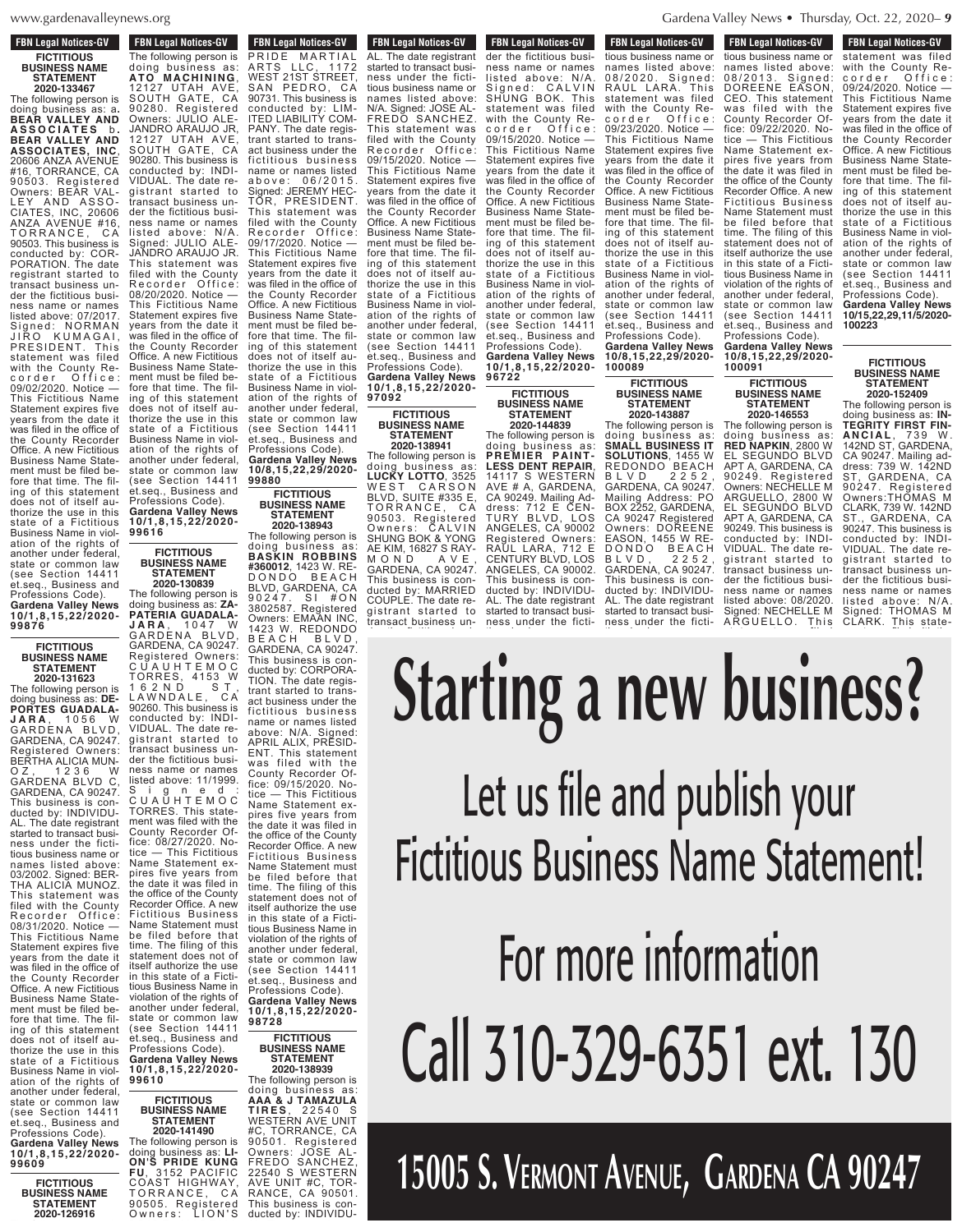**FBN Legal Notices-GV FICTITIOUS BUSINESS NAME STATEMENT 2020-133467**

The following person is doing business as: a**. BEAR VALLEY AND A S S O C I A T E S** b **. BEAR VALLEY AND ASSOCIATES, INC**, 20606 ANZA AVENUE #16, TORRANCE, CA 90503. Registered Owners: BEAR VAL-LEY AND ASSO-CIATES, INC, 20606 ANZA AVENUE #16, TORRANCE, CA 90503. This business is conducted by: COR-PORATION. The date registrant started to transact business under the fictitious business name or names listed above: 07/2017. Signed: NORMAN JIRO KUMAGAI, PRESIDENT. This statement was filed with the County Recorder Office: 09/02/2020. Notice — This Fictitious Name Statement expires five years from the date it was filed in the office of the County Recorder Office. A new Fictitious Business Name Statement must be filed before that time. The filing of this statement does not of itself authorize the use in this state of a Fictitious Business Name in violation of the rights of another under federal, state or common law (see Section 1441 et.seq., Business and Professions Code).

**Gardena Valley News 10/1,8,15,22/2020- 99876**

### **FICTITIOUS BUSINESS NAME STATEMENT**

**2020-131623** The following person is doing business as: **DE-PORTES GUADALA-J A R A** , 1 0 5 6 W GARDENA BLVD, GARDENA, CA 90247. Registered Owners: BERTHA ALICIA MUN-O Z , 1 2 3 6 W GARDENA BLVD C, GARDENA, CA 90247. This business is conducted by: INDIVIDU-AL. The date registrant started to transact business under the fictitious business name or names listed above: 03/2002. Signed: BER-THA ALICIA MUNOZ. This statement was filed with the County<br>Recorder Office: 08/31/2020. Notice — This Fictitious Name Statement expires five years from the date it was filed in the office of the County Recorder Office. A new Fictitious Business Name Statement must be filed before that time. The filing of this statement does not of itself authorize the use in this state of a Fictitious Business Name in violation of the rights of another under federal, state or common law (see Section 14411 et.seq., Business and Professions Code). **Gardena Valley News 10/1,8,15,22/2020- 99609**

> **FICTITIOUS BUSINESS NAME STATEMENT 2020-126916**

**FBN Legal Notices-GV 2801** Legal Motices The following person is doing business as: **ATO M ACHINING**, 12127 UTAH AVE, SOUTH GATE, CA 90280. Registered Owners: JULIO ALE-JANDRO ARAUJO JR, 12127 UTAH AVE, SOUTH GATE, CA 90280. This business is conducted by: INDI-VIDUAL. The date registrant started to transact business under the fictitious business name or names listed above: N/A. Signed: JULIO ALE-JANDRO ARAUJO JR. This statement was filed with the County Recorder Office: 08/20/2020. Notice — This Fictitious Name Statement expires five years from the date it was filed in the office of the County Recorder Office. A new Fictitious Business Name Statement must be filed before that time. The filing of this statement does not of itself authorize the use in this state of a Fictitious Business Name in violation of the rights of another under federal, state or common law state of common fail et.seq., Business and Professions Code). **FBN Legal Notices-GV** 90731. This business state or common law (see Section 14411 et.seq., Business and Professions Code). **Gardena Valley News 10/8,15,22,29/2020- 99880 FICTITIOUS BUSINESS NAME STATEMENT**

# **Gardena Valley News 10/1,8,15,22/2020-** The following person is doing business as: **BASKIN ROBBINS**

**2020-138943**

**#360012**, 1423 W. RE-D O N D O B E A C H

**FICTITIOUS**

**STATEMENT 2020-138939** The following person is doing business as: **AAA & J TAMAZULA T I R E S** , 2 2 5 4 0 S WESTERN AVE UNIT #C, TORRANCE, CA 90501. Registered Owners: JOSE AL-FREDO SANCHEZ, 22540 S WESTERN AVE UNIT #C, TOR-RANCE, CA 90501. This business is conducted by: INDIVIDU-AL. The date registrant

**FICTITIOUS BUSINESS NAME STATEMENT 2020-130839**

**99616**

The following person is doing business as: **ZA-PATERIA GUADALA-J A R A** , 1 0 4 7 W GARDENA BLVD, GARDENA, CA 90247. Registered Owners: C U A U H T E M O C TORRES, 4153 W 1 6 2 N D S T , L A W N D A L E , C A 90260. This business is conducted by: INDI-VIDUAL. The date registrant started to transact business under the fictitious business name or names listed above: 11/1999. S i g n e d : C U A U H T E M O C TORRES. This statement was filed with the County Recorder Office: 08/27/2020. Notice — This Fictitious Name Statement expires five years from the date it was filed in the office of the County Recorder Office. A new Fictitious Business Name Statement must be filed before that time. The filing of this statement does not of itself authorize the use in this state of a Fictitious Business Name in violation of the rights of another under federal, state or common law (see Section 14411 et.seq., Business and Professions Code). BLVD, GARDENA, CA 9 0 2 4 7 . S I # O N 3802587. Registered Owners: EMAAN INC, 1423 W. REDONDO B E A C H B L V D , GARDENA, CA 90247. This business is conducted by: CORPORA-TION. The date registrant started to transact business under the fictitious business name or names listed above: N/A. Signed: APRIL ALIX, PRESID-ENT. This statement was filed with the County Recorder Office: 09/15/2020. Notice — This Fictitious Name Statement expires five years from the date it was filed in the office of the County Recorder Office. A new Fictitious Business Name Statement must be filed before that time. The filing of this statement does not of itself authorize the use in this state of a Fictitious Business Name in violation of the rights of another under federal, state or common law (see Section 14411 et.seq., Business and Professions Code). **Gardena Valley News 10/1,8,15,22/2020- 98728 BUSINESS NAME**

**Gardena Valley News 10/1,8,15,22/2020- 99610**

## **FICTITIOUS BUSINESS NAME STATEMENT**

**2020-141490** The following person is doing business as: **LI-ON'S PRIDE KUNG FU**, 3152 PACIFIC COAST HIGHWAY, TORRANCE, CA 90505. Registered Owners: LION'S

**FON LEGAL NUMBER-GV** PRIDE MARTIAL ARTS LLC, 1172 WEST 21ST STREET, SAN PEDRO, CA conducted by: LIM-ITED LIABILITY COM-PANY. The date registrant started to transact business under the fictitious business name or names listed a b o v e : 0 6 / 2 0 1 5 . Signed: JEREMY HEC-TOR, PRESIDENT. This statement was filed with the County Recorder Office: 09/17/2020. Notice — This Fictitious Name Statement expires five years from the date it was filed in the office of the County Recorder Office. A new Fictitious Business Name Statement must be filed before that time. The filing of this statement does not of itself authorize the use in this state of a Fictitious Business Name in violation of the rights of another under federal, **FBN Legal Notices-GV** rdin Leyal Nutiles-GV AL. The date registrant started to transact business under the fictitious business name or names listed above: N/A. Signed: JOSE AL-FREDO SANCHEZ. This statement was filed with the County Recorder Office: 09/15/2020. Notice — This Fictitious Name Statement expires five years from the date it was filed in the office of the County Recorder Office. A new Fictitious Business Name Statement must be filed before that time. The filing of this statement does not of itself authorize the use in this state of a Fictitious Business Name in violation of the rights of another under federal, state or common law (see Section 14411 et.seq., Business and Professions Code). **Gardena Valley News 10/1,8,15,22/2020- 97092 FICTITIOUS**

## **BUSINESS NAME STATEMENT 2020-138941**

The following person is doing business as: **LUCKY LOTTO**, 3525 WEST CARSON BLVD, SUITE #335 E, TORRANCE, CA 90503. Registered Owners: CALVIN SHUNG BOK & YONG AE KIM, 16827 S RAY-M O N D A V E , GARDENA, CA 90247. This business is conducted by: MARRIED COUPLE. The date registrant started to transact business un-

**FBN Legal Notices-GV** rbn Leyal Nullles-GV der the fictitious busi-<br>ness name or names listed above: N/A Signed: CALVIN SHUNG BOK. This statement was filed with the County Recorder Office: 09/15/2020. Notice — This Fictitious Name Statement expires five years from the date it was filed in the office of the County Recorder Office. A new Fictitious Business Name Statement must be filed before that time. The filing of this statement does not of itself authorize the use in this state of a Fictitious Business Name in violation of the rights of another under federal, state or common law (see Section 14411 et.seq., Business and Professions Code). **Gardena Valley News 10/1,8,15,22/2020- 96722**

**FICTITIOUS BUSINESS NAME STATEMENT**

**2020-144839** The following person is doing business as: **P R E M IE R P A I N T-LESS DENT REPAIR**, 14117 S WESTERN AVE # A, GARDENA, CA 90249. Mailing Address: 712 E CEN-TURY BLVD, LOS ANGELES, CA 90002 Registered Owners: RAUL LARA, 712 E CENTURY BLVD, LOS ANGELES, CA 90002. This business is conducted by: INDIVIDU-AL. The date registrant started to transact business under the ficti-

tious business name or

**FBN Legal Notices-GV** rdw leyal nulles-uv tious business name or<br>names listed above:<br>08/2020. Signed: 08/2020. Signed: RAUL LARA. This statement was filed with the County Recorder Office: 09/23/2020. Notice — This Fictitious Name Statement expires five years from the date it was filed in the office of the County Recorder Office. A new Fictitious Business Name Statement must be filed before that time. The filing of this statement does not of itself authorize the use in this state of a Fictitious Business Name in violation of the rights of another under federal, state or common law (see Section 14411 et.seq., Business and Professions Code). **Gardena Valley News 10/8,15,22,29/2020- 100089**

> **FICTITIOUS BUSINESS NAME STATEMENT 2020-143887**

The following person is doing business as: **SMALL BUSINESS IT SOLUTIONS**, 1455 W REDONDO BEACH B L V D 2 2 5 2 , GARDENA, CA 90247. Mailing Address: PO BOX 2252, GARDENA, CA 90247 Registered Owners: DOREENE EASON, 1455 W RE-D O N D O B E A C H B L V D , 2 2 5 2 , GARDENA, CA 90247. This business is conducted by: INDIVIDU-AL. The date registrant started to transact business under the ficti-

tious business name or

www.gardenavalleynews.org extending the state of the state of Gardena Valley News • Thursday, Oct. 22, 2020– **9**  $\frac{1}{2}$  and  $\frac{1}{2}$  and  $\frac{1}{2}$ dlev News • Thurse  $\sum_{i=1}^{n}$ v. Oct. 22, 2020- $9$  $\frac{1}{2}$ 

**FBN Legal Notices-GV** rbn Leyal Nullles-GV tious business name or names listed above: 08/2013. Signed: DOREENE EASON, CEO. This statement BOILLINE ENSOIL,<br>CEO. This statement<br>was filed with the County Recorder Office: 09/22/2020. Notice — This Fictitious Name Statement expires five years from the date it was filed in the office of the County Recorder Office. A new Fictitious Business Name Statement must be filed before that time. The filing of this statement does not of itself authorize the use in this state of a Fictitious Business Name in violation of the rights of another under federal, state or common law (see Section 14411 et.seq., Business and Professions Code). **Gardena Valley News 10/8,15,22,29/2020- 100091**

**FBN Legal Notices-GV FON LEGAL NUMBER-GV** statement was filed<br>with the County Recorder Office:  $\begin{array}{cc} \texttt{c} \texttt{o} \texttt{r} \texttt{d} \texttt{e} \texttt{r} & \texttt{O} \texttt{f} \texttt{f} \texttt{i} \texttt{c} \texttt{e} \\ \texttt{09/24/2020} & \texttt{Notice} \end{array}$ This Fictitious Name Statement expires five years from the date it was filed in the office of the County Recorder Office. A new Fictitious Business Name Statement must be filed before that time. The filing of this statement does not of itself authorize the use in this state of a Fictitious Business Name in violation of the rights of another under federal, state or common law (see Section 14411 et.seq., Business and Professions Code). **Gardena Valley News 10/15,22,29,11/5/2020- 100223**

## **FICTITIOUS BUSINESS NAME STATEMENT**

**BUSINESS NAME STATEMENT 2020-146553**

**FICTITIOUS**

The following person is doing business as: **RED NAPKIN**, 2800 W EL SEGUNDO BLVD APT A, GARDENA, CA 90249. Registered Owners: NECHELLE M ARGUELLO, 2800 W EL SEGUNDO BLVD APT A, GARDENA, CA 90249. This business is conducted by: INDI-VIDUAL. The date registrant started to transact business under the fictitious business name or names listed above: 08/2020. Signed: NECHELLE M ARGUELLO. This

statement was filed

**2020-152409** The following person is doing business as: **IN-TEGRITY FIRST FIN-A N C I A L** , 7 3 9 W . 142ND ST, GARDENA, CA 90247. Mailing address: 739 W. 142ND ST, GARDENA, CA 90247. Registered Owners:THOMAS M CLARK, 739 W. 142ND ST., GARDENA, CA 90247. This business is conducted by: INDI-VIDUAL. The date registrant started to transact business under the fictitious business name or names listed above: N/A Signed: THOMAS M CLARK. This statement was filed with the

#### **Starting a new business?** Let us file and publish your Fictitious Business Name Statement! For more information Call 310-329-6351 ext. 130 l i s ted above: N/A.  $\blacksquare$  $\blacksquare$ shung bok. This is a set of  $\blacksquare$ statement was filed with the County Rec o r o f f i c e r o f i c e s  $\overline{\mathcal{Q}}$  current  $T_{\rm eff}$   $T_{\rm eff}$   $T_{\rm eff}$ Office. A new Fictitious Business Name Statement must be filed before that time. The filing of this statement thorize the use in this state of a Fiction of a Fiction Business Name in <u>Septembus</u> ation of the rights of another under federal, 0 8 / 2 0 2 0 . S i g n e d : RAUL LARA. Thi s  $s = s \sim s$ rinan a c o r d e r d 11112 A This Fictitious Name  $\blacksquare$ years from the date it was filed in the office of  $\mathcal{C}$ Office. A new Fictitious Business Name Statement must be filed before that time. The filing of this statement does not of itself austate of a Fictitious Business Name in violation is the right an an Indon state or common law **10/8,15,22,29/2020- 100089** C<sub>E</sub> was field with the set County Recorder Office: 09/22/2020. No- $\blacksquare$ Name Statement ex-Recorder Office. A new Fictitious Business and nu  $\mathcal{A}$ li $\mathcal{A}$ li $\mathcal{A}$ tuliu Du  $\mathbf{S}$ itself authorize the use in this state of a Fictitious Business Name in violation of the rights of another under federal, state or common law **10/8,15,22,29/2020** c o r d e r O f f i c e : 09/24/2020. Notice —  $\blacksquare$ .  $\blacksquare$ .  $\blacksquare$ .  $\blacksquare$ .  $\blacksquare$ .  $\blacksquare$ .  $\blacksquare$ .  $\blacksquare$ .  $\blacksquare$ .  $\blacksquare$ .  $\blacksquare$ .  $\blacksquare$ .  $\blacksquare$ .  $\blacksquare$ .  $\blacksquare$ .  $\blacksquare$ .  $\blacksquare$ .  $\blacksquare$ .  $\blacksquare$ .  $\blacksquare$ .  $\blacksquare$ .  $\blacksquare$ .  $\blacksquare$ .  $\blacksquare$ .  $\blacksquare$ .  $\blacksquare$ .  $\blacksquare$ .  $\blacksquare$ Statement expires five years from the date it was filed in the office of the County Recorder  $\sim$   $\sim$   $\sim$   $\sim$   $\sim$   $\sim$   $\sim$   $\sim$ ing of this statement does not of itself austich van state of a Figure ZHJH VUI  $\cdots$  .  $\cdots$ another under federal, state or common law aa Chaba na stata Professions Code). **Gardena Valley News** fice: 10/01/2020. No- $\blacksquare$  $\lambda$ pires five years from the date it was filed in the office of the County Recorder Office. A new  $\mathbf{F}$   $\mathbf{F}$   $\mathbf{F}$   $\mathbf{F}$   $\mathbf{F}$   $\mathbf{F}$  $\blacksquare$ in this state of a Fictitious Business Name in violation of the rights of another under federal, (see Section 14411 et.seq., Business and Professions Code). **Gardena Valley News 10/15,22,29,11/5/2020-**

**15005 S. Vermont AVenue, GArdenA CA 90247**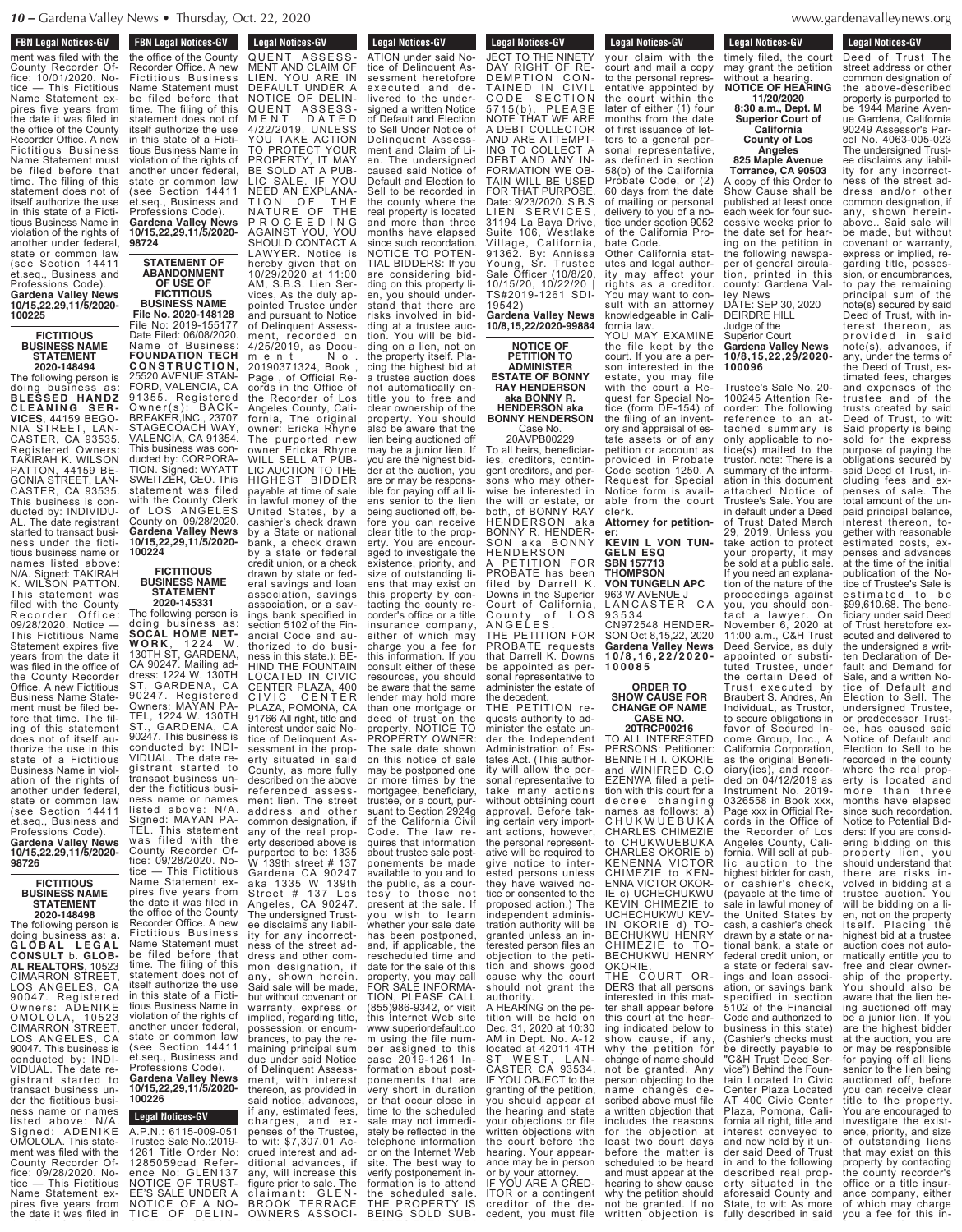**FBN Legal Notices-GV** 

**COLARGE TO SHOW SHOW** ment was filed with the County Recorder Office: 10/01/2020. Notice — This Fictitious Name Statement expires five years from the date it was filed in the office of the County Recorder Office. A new Fictitious Business Name Statement must be filed before that time. The filing of this statement does not of itself authorize the use in this state of a Fictitious Business Name in violation of the rights of another under federal, state or common law (see Section 14411 et.seq., Business and Professions Code). **Gardena Valley News 10/15,22,29,11/5/2020- 100225**

#### **FICTITIOUS BUSINESS NAME STATEMENT 2020-148494**

The following person is doing business as: **BLESSED HANDZ C L E A N I N G S E R - VICES**, 44159 BEGO-NIA STREET, LAN-CASTER, CA 93535. Registered Owners: TAKIRAH K. WILSON PATTON, 44159 BE-GONIA STREET, LAN-CASTER, CA 93535. This business is conducted by: INDIVIDU-AL. The date registrant started to transact business under the fictitious business name or names listed above: N/A. Signed: TAKIRAH K. WILSON PATTON. This statement was filed with the County<br>Recorder Office: Recorder Office: 09/28/2020. Notice — This Fictitious Name Statement expires five years from the date it was filed in the office of the County Recorder Office. A new Fictitious Business Name State ment must be filed before that time. The filing of this statement does not of itself authorize the use in this state of a Fictitious Business Name in violation of the rights of another under federal, state or common law (see Section 14411 et.seq., Business and Professions Code).

**Gardena Valley News 10/15,22,29,11/5/2020- 98726**

### **FICTITIOUS BUSINESS NAME STATEMENT 2020-148498**

The following person is doing business as: a**. G L O B A L L E G A L CONSULT** b**. GLOB-AL REALTORS**, 10523 CIMARRON STREET, LOS ANGELES, CA 90047. Registered Owners: ADENIKE O M OLOLA, 1 0 5 2 3 CIMARRON STREET, LOS ANGELES, CA 90047. This business is conducted by: INDI-VIDUAL. The date registrant started to transact business under the fictitious business name or names<br>listed above: N/A. listed above: Signed: ADENIKE OMOLOLA. This statement was filed with the County Recorder Office: 09/28/2020. Notice — This Fictitious Name Statement ex-

pires five years from the date it was filed in

QUENT ASSESS DEFAULT UNDER A **FBN Legal Notices-GV THE DATE CALCULATE IN EXAMPLE 25 IN EXAMPLE 25 IN EXAMPLE 25 IN EXAMPLE 25 IN EXAMPLE 25 IN EXAMPLE 25 IN EXAMPLE 25 IN EXAMPLE 25 IN EXAMPLE 25 IN EXAMPLE 25 IN EXAMPLE 25 IN EXAMPLE 25 IN EXAMPLE 25 IN EXAMPLE 25 IN EXA** the office of the County Recorder Office. A new Fictitious Business Name Statement must be filed before that time. The filing of this statement does not of itself authorize the use in this state of a Fictitious Business Name in violation of the rights of another under federal, state or common law (see Section 14411 et.seq., Business and Professions Code). **Gardena Valley News 10/15,22,29,11/5/2020- 98724**

**Legal Notices-GV** 

Legal Nutices-GV

MENT AND CLAIM OF LIEN. YOU ARE IN

NOTICE OF DELIN-

**STATEMENT OF ABANDONMENT OF USE OF FICTITIOUS BUSINESS NAME**

## **File No. 2020-148128** File No: 2019-155177 Date Filed: 06/08/2020. Name of Business: **FOUNDATION TECH**  $C$  **ONSTRUCTION** 25520 AVENUE STAN-FORD, VALENCIA, CA  $91355.$  Registered Owner(s): BACK-BREAKER,INC., 23707 STAGECOACH WAY, VALENCIA, CA 91354. This business was conducted by: CORPORA-TION. Signed: WYATT SWEITZER, CEO. This statement was filed with the County Clerk of LOS ANGELES County on 09/28/2020. **Gardena Valley News 10/15,22,29,11/5/2020-**

## **FICTITIOUS BUSINESS NAME STATEMENT 2020-145331**

**100224**

The following person is doing business as: **SOCAL HOME NET-W O R K** , 1 2 2 4 W . 130TH ST, GARDENA, CA 90247. Mailing address: 1224 W. 130TH ST, GARDENA, CA 90247. Registered Owners: MAYAN PA-TEL, 1224 W. 130TH ST., GARDENA, CA 90247. This business is conducted by: INDI-VIDUAL. The date registrant started to transact business under the fictitious business name or names listed above: N/A. Signed: MAYAN PA-TEL. This statement was filed with the County Recorder Office: 09/28/2020. Notice — This Fictitious Name Statement ex-<br>pires five years from the date it was filed in the office of the County Recorder Office. A new Fictitious Business Name Statement must be filed before that time. The filing of this statement does not of itself authorize the use in this state of a Fictitious Business Name in violation of the rights of another under federal, state or common law (see Section 14411 et.seq., Business and Professions Code). **Gardena Valley News 10/15,22,29,11/5/2020- 100226**

# **Legal Notices-GV**

figure prior to sale. The OWNERS ASSOCI- $AP N \cdot 6115 - 009 - 051$ Trustee Sale No.:2019- 1261 Title Order No: 1285059cad Reference No: GLEN137 NOTICE OF TRUST-EE'S SALE UNDER A<br>NOTICE OF A NO-TICE OF DELIN-

Q U E N T ASSESSES

claimant: GLEN-BROOK TERRACE

QUENT ASSESS-MENT DATED 4/22/2019. UNLESS YOU TAKE ACTION TO PROTECT YOUR PROPERTY, IT MAY BE SOLD AT A PUB-LIC SALE. IF YOU NEED AN EXPLANA-TION OF THE NATURE OF THE P R O C E E D I N G AGAINST YOU, YOU SHOULD CONTACT A LAWYER. Notice is hereby given that on 10/29/2020 at 11:00 AM, S.B.S. Lien Ser-As the duly appointed Trustee under and pursuant to Notice of Delinquent Assessment, recorded on 4/25/2019, as Docum e n t N o . ment<br>
20190371324, Book, Page , of Official Records in the Office of the Recorder of Los Angeles County, California, The original owner: Ericka Rhyne The purported new owner Ericka Rhyne WILL SELL AT PUB-LIC AUCTION TO THE HIGHEST BIDDER payable at time of sale in lawful money of the United States, by a cashier's check drawn by a State or national bank, a check drawn by a state or federal credit union, or a check drawn by state or federal savings and loan association, savings association, or a savings bank specified in section 5102 of the Financial Code and authorized to do business in this state.): BE-HIND THE FOUNTAIN LOCATED IN CIVIC CENTER PLAZA, 400 CIVIC CENTER PLAZA, POMONA, CA 91766 All right, title and interest under said Notice of Delinquent Assessment in the property situated in said County, as more fully described on the above referenced assessment lien. The street address and other common designation, if any of the real property described above is purported to be: 1335 W 139th street # 137 Gardena CA 90247 aka 1335 W 139th Street # 137 Los<br>Angeles, CA 90247. The undersigned Trustee disclaims any liability for any incorrectness of the street address and other common designation, if any, shown herein. Said sale will be made, but without covenant or warranty, express or implied, regarding title, possession, or encumbrances, to pay the remaining principal sum due under said Notice of Delinquent Assessment, with interest thereon, as provided in said notice, advances, if any, estimated fees, charges, and expenses of the Trustee, to wit: \$7,307.01 Accrued interest and additional advances, if any, will increase this

**Legal Notices-GV** Legal Nutres-GV ATION under said Notice of Delinquent Assessment heretofore executed and delivered to the undersigned a written Notice of Default and Election to Sell Under Notice of Delinquent Assessment and Claim of Lien. The undersigned caused said Notice of Default and Election to Sell to be recorded in the county where the real property is located and more than three months have elapsed since such recordation. NOTICE TO POTEN-TIAL BIDDERS: If you are considering bidding on this property liyou should understand that there are risks involved in bidding at a trustee auction. You will be bidding on a lien, not on the property itself. Placing the highest bid at a trustee auction does not automatically entitle you to free and clear ownership of the property. You should also be aware that the lien being auctioned off may be a junior lien. If you are the highest bidder at the auction, you are or may be responsible for paying off all liens senior to the lien being auctioned off, before you can receive clear title to the property. You are encouraged to investigate the existence, priority, and size of outstanding liens that may exist on this property by contacting the county recorder's office or a title insurance company, either of which may charge you a fee for this information. consult either of these resources, you should be aware that the same lender may hold more than one mortgage or deed of trust on the property. NOTICE TO PROPERTY OWNER: The sale date shown on this notice of sale may be postponed one or more times by the mortgagee, beneficiary, trustee, or a court, pursuant to Section 2924g of the California Civil Code. The law requires that information about trustee sale postponements be made available to you and to the public, as a courtesy to those not present at the sale. If .<br>you wish to learn whether your sale date has been postponed, and, if applicable, the rescheduled time and date for the sale of this property, you may call FOR SALE INFORMA-TION, PLEASE CALL (855)986-9342, or visit this Internet Web site www.superiordefault.co m using the file number assigned to this case 2019-1261 Information about postponements that are very short in duration or that occur close in time to the scheduled sale may not immediately be reflected in the telephone information or on the Internet Web site. The best way to verify postponement information is to attend the scheduled sale. THE PROPERTY IS BEING SOLD SUB-

JECT TO THE NINETY

cegal Nutries-GV **Legal Notices-GV** Legal Nutrices-GV JECT TO THE NINETY DAY RIGHT OF RE-<br>DEMPTION CON-DEMPTION CON-TAINED IN CIVIL CODE SECTION 5 7 1 5 ( b ). PLEASE NOTE THAT WE ARE A DEBT COLLECTOR AND ARE ATTEMPT-ING TO COLLECT A DEBT AND ANY IN-FORMATION WE OB-TAIN WILL BE USED FOR THAT PURPOSE. Date: 9/23/2020. S.B.S LIEN SERVICES 31194 La Baya Drive, Suite 106, Westlake Village, California, 91362. By: Annissa Young, Sr. Trustee Young, Sr. Trustee<br>Sale Officer (10/8/20, 10/15/20, 10/22/20 | TS#2019-1261 SDI-19542)

**Gardena Valley News 10/8,15,22/2020-99884**

## **NOTICE OF PETITION TO ADMINISTER ESTATE OF BONNY RAY HENDERSON aka BONNY R. HENDERSON aka BONNY HENDERSON**

Case No.

20AVPB00229 To all heirs, beneficiaries, creditors, contingent creditors, and persons who may otherwise be interested in the will or estate, or both, of BONNY RAY HENDERSON aka BONNY R. HENDER-SON aka BONNY HENDERSON<br>HENDERSON<br>A PETITION FOR A PETITION FOR PROBATE has been filed by Darrell K. Downs in the Superior Court of California, County of LOS A N G E L E S . THE PETITION FOR PROBATE requests that Darrell K. Downs be appointed as personal representative to administer the estate of the decedent. THE PETITION requests authority to ad-

minister the estate under the Independent Administration of Estates Act. (This authority will allow the personal representative to take many actions without obtaining court approval. Before taking certain very important actions, however, the personal representative will be required to give notice to interested persons unless they have waived notice or consented to the proposed action.) The independent administration authority will be granted unless an interested person files an objection to the petition and shows good cause why the court

should not grant the authority. A HEARING on the petition will be held on Dec. 31, 2020 at 10:30 AM in Dept. No. A-12 located at 42011 4TH ST WEST, LAN-CASTER CA 93534. IF YOU OBJECT to the granting of the petition, you should appear at the hearing and state your objections or file written objections with the court before the hearing. Your appearance may be in person or by your attorney.

IF YOU ARE A CRED-ITOR or a contingent creditor of the decedent, you must file<br>

**Legal Notices-GV** 

#### timely filed, the court may grant the petition without a hearing. **NOTICE OF HEARING Torrance, CA 90503** A copy of this Order to Show Cause shall be published at least once your claim with the court and mail a copy to the personal representative appointed by the court within the later of either (1) four months from the date of first issuance of letters to a general personal representative, as defined in section 58(b) of the California Probate Code, or (2) 60 days from the date of mailing or personal

each week for four successive weeks prior to the date set for hearing on the petition in the following newspaper of general circulation, printed in this county: Gardena Valley News DATE: SEP 30, 2020 delivery to you of a notice under section 9052 of the California Probate Code. Other California statutes and legal authority may affect your rights as a creditor. You may want to consult with an attorney

knowledgeable in California law. YOU MAY EXAMINE the file kept by the court. If you are a person interested in the estate, you may file with the court a Request for Special Notice (form DE-154) of the filing of an inventory and appraisal of estate assets or of any petition or account as provided in Probate Code section 1250. A Request for Special Notice form is available from the court clerk.

of Trust Dated March 29, 2019. Unless you take action to protect your property, it may **Attorney for petition-KEVIN L VON TUN-**

**GELN ESQ SBN 157713 THOMPSON VON TUNGELN APC**

**er:**

963 W AVENUE J LANCASTER CA 9 3 5 3 4 CN972548 HENDER-SON Oct 8,15,22, 2020 **Gardena Valley News 1 0 / 8 , 1 6 , 2 2 / 2 0 2 0 - 1 0 0 0 8 5**

## **ORDER TO SHOW CAUSE FOR CHANGE OF NAME CASE NO.**

**20TRCP00216** TO ALL INTERESTED PERSONS: Petitioner: BENNETH I. OKORIE and WINIFRED C.O EZENWA filed a petition with this court for a decree changing names as follows: a) C H U K W U E B U K A CHARLES CHIMEZIE to CHUKWUEBUKA CHARLES OKORIE b) KENENNA VICTOR CHIMEZIE to KEN-ENNA VICTOR OKOR-IE c) UCHECHUKWU KEVIN CHIMEZIE to UCHECHUKWU KEV-IN OKORIE d) TO-BECHUKWU HENRY CHIMEZIE to TO-BECHUKWU HENRY OKORIE.

THE COURT OR-DERS that all persons interested in this matter shall appear before this court at the hearing indicated below to show cause, if any, why the petition for change of name should not be granted. Any person objecting to the name changes described above must file a written objection that includes the reasons for the objection at least two court days before the matter is scheduled to be heard and must appear at the hearing to show cause why the petition should not be granted. If no<br>written objection is

#### denavalleynews.org www.gardenavalleynews.org when  $\mathcal{L}_{\mathbf{S}}$

**Legal Notices-GV** 

Legal Nutles-GV

**11/20/2020 8:30 a.m., Dept. M Superior Court of California County of Los Angeles 825 Maple Avenue**

DEIRDRE HILL Judge of the

**100096**

Superior Court **Gardena Valley News 10/8,15,22,29/2020-**

Trustee's Sale No. 20- 100245 Attention Recorder: The following reference to an attached summary is only applicable to notice(s) mailed to the trustor. note: There is a summary of the information in this document attached Notice of Trustee's Sale. You are in default under a Deed

be sold at a public sale. If you need an explanation of the nature of the proceedings against you, you should contact a lawyer. On November 6, 2020 at 11:00 a.m., C&H Trust Deed Service, as duly appointed or substituted Trustee, under the certain Deed of Trust executed by Braubert S. Andres, An IndividuaL, as Trustor, to secure obligations in favor of Secured In-<br>come Group, Inc., A come Group, Inc. California Corporation, as the original Beneficiary(ies), and recorded on 04/12/2019 as Instrument No. 2019- 0326558 in Book xxx, Page xxx in Official Records in the Office of the Recorder of Los Angeles County, California. Will sell at public auction to the highest bidder for cash, or cashier's check, (payable at the time of sale in lawful money of the United States by cash, a cashier's check drawn by a state or national bank, a state or federal credit union, or a state or federal savings and loan association, or savings bank specified in section 5102 of the Financial Code and authorized to business in this state) (Cashier's checks must be directly payable to "C&H Trust Deed Service") Behind the Fountain Located In Civic Center Plaza Located AT 400 Civic Center Plaza, Pomona, California all right, title and interest conveyed to and now held by it under said Deed of Trust in and to the following described real property situated in the aforesaid County and State, to wit: As more fully described in said Deed of Trust The

**Legal Notices-GV Eugen** Numbes-GV

Deed of Trust The street address or other common designation of the above-described property is purported to be 1944 Marine Avenue Gardena, California 90249 Assessor's Parcel No. 4063-005-023 The undersigned Trustee disclaims any liability for any incorrectness of the street address and/or other common designation, if any, shown hereinabove.. Said sale will be made, but without covenant or warranty, express or implied, regarding title, possession, or encumbrances, to pay the remaining principal sum of the note(s) secured by said Deed of Trust, with interest thereon, as provided in said note(s), advances, if any, under the terms of the Deed of Trust, estimated fees, charges and expenses of the trustee and of the trusts created by said Deed of Trust, to wit: Said property is being sold for the express purpose of paying the obligations secured by said Deed of Trust, including fees and expenses of sale. The total amount of the unpaid principal balance, interest thereon, together with reasonable estimated costs, expenses and advances at the time of the initial publication of the Notice of Trustee's Sale is estimated to be \$99,610.68. The beneficiary under said Deed of Trust heretofore executed and delivered to the undersigned a written Declaration of Default and Demand for Sale, and a written Notice of Default and Election to Sell. The undersigned Trustee, or predecessor Trustee, has caused said Notice of Default and Election to Sell to be recorded in the county where the real property is located and more than three months have elapsed since such recordation. Notice to Potential Bidders: If you are considering bidding on this property lien, you should understand that there are risks involved in bidding at a trustee auction. You will be bidding on a lien, not on the property itself. Placing the highest bid at a trustee auction does not automatically entitle you to free and clear ownership of the property. You should also be aware that the lien being auctioned off may be a junior lien. If you are the highest bidder at the auction, you are or may be responsible for paying off all liens senior to the lien being auctioned off, before you can receive clear title to the property. You are encouraged to investigate the existence, priority, and size of outstanding liens that may exist on this property by contacting the county recorder's office or a title insurance company, either of which may charge you a fee for this in-